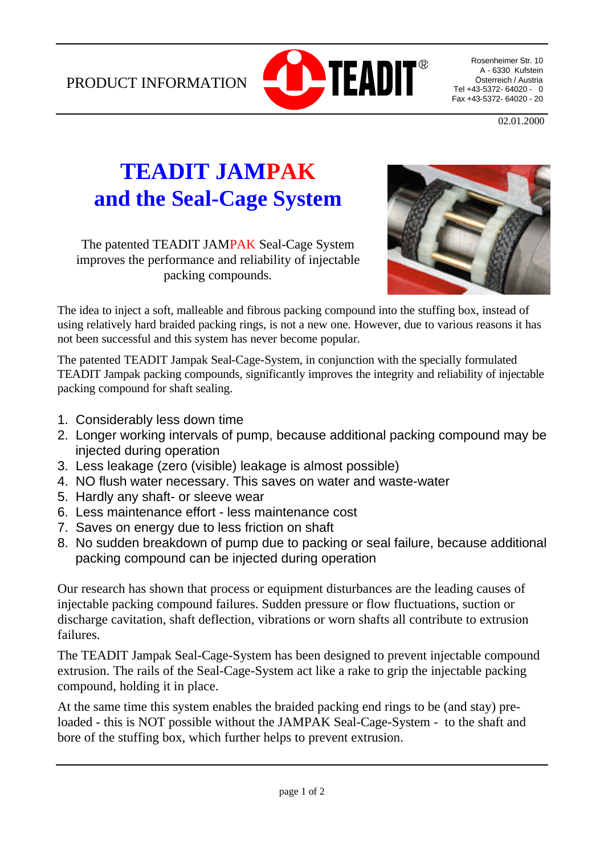PRODUCT INFORMATION



Rosenheimer Str. 10 A - 6330 Kufstein Österreich / Austria Tel +43-5372- 64020 - 0 Fax +43-5372- 64020 - 20

02.01.2000

# **TEADIT JAMPAK and the Seal-Cage System**

The patented TEADIT JAMPAK Seal-Cage System improves the performance and reliability of injectable packing compounds.



The idea to inject a soft, malleable and fibrous packing compound into the stuffing box, instead of using relatively hard braided packing rings, is not a new one. However, due to various reasons it has not been successful and this system has never become popular.

The patented TEADIT Jampak Seal-Cage-System, in conjunction with the specially formulated TEADIT Jampak packing compounds, significantly improves the integrity and reliability of injectable packing compound for shaft sealing.

- 1. Considerably less down time
- 2. Longer working intervals of pump, because additional packing compound may be injected during operation
- 3. Less leakage (zero (visible) leakage is almost possible)
- 4. NO flush water necessary. This saves on water and waste-water
- 5. Hardly any shaft- or sleeve wear
- 6. Less maintenance effort less maintenance cost
- 7. Saves on energy due to less friction on shaft
- 8. No sudden breakdown of pump due to packing or seal failure, because additional packing compound can be injected during operation

Our research has shown that process or equipment disturbances are the leading causes of injectable packing compound failures. Sudden pressure or flow fluctuations, suction or discharge cavitation, shaft deflection, vibrations or worn shafts all contribute to extrusion failures.

The TEADIT Jampak Seal-Cage-System has been designed to prevent injectable compound extrusion. The rails of the Seal-Cage-System act like a rake to grip the injectable packing compound, holding it in place.

At the same time this system enables the braided packing end rings to be (and stay) preloaded - this is NOT possible without the JAMPAK Seal-Cage-System - to the shaft and bore of the stuffing box, which further helps to prevent extrusion.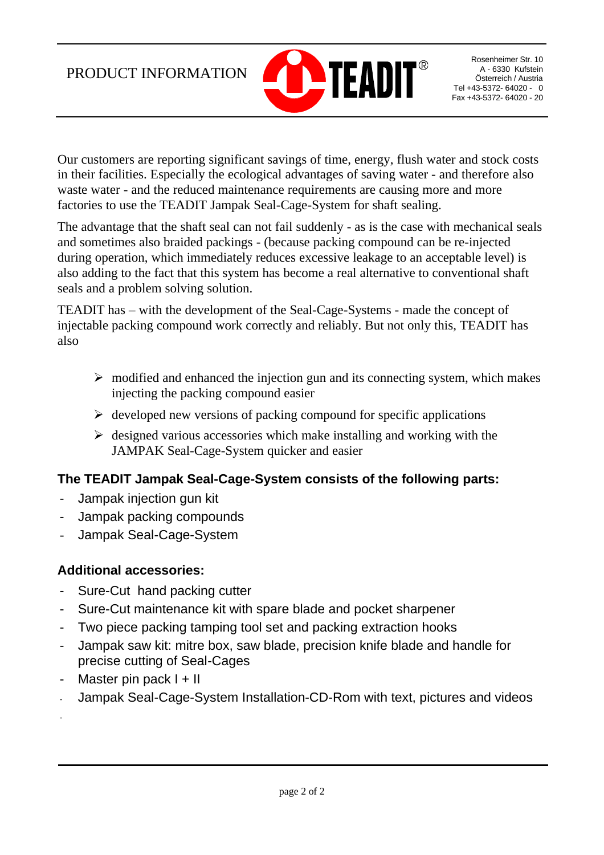## PRODUCT INFORMATION



Rosenheimer Str. 10 A - 6330 Kufstein Österreich / Austria Tel +43-5372- 64020 - 0 Fax +43-5372- 64020 - 20

Our customers are reporting significant savings of time, energy, flush water and stock costs in their facilities. Especially the ecological advantages of saving water - and therefore also waste water - and the reduced maintenance requirements are causing more and more factories to use the TEADIT Jampak Seal-Cage-System for shaft sealing.

The advantage that the shaft seal can not fail suddenly - as is the case with mechanical seals and sometimes also braided packings - (because packing compound can be re-injected during operation, which immediately reduces excessive leakage to an acceptable level) is also adding to the fact that this system has become a real alternative to conventional shaft seals and a problem solving solution.

TEADIT has – with the development of the Seal-Cage-Systems - made the concept of injectable packing compound work correctly and reliably. But not only this, TEADIT has also

- $\triangleright$  modified and enhanced the injection gun and its connecting system, which makes injecting the packing compound easier
- $\triangleright$  developed new versions of packing compound for specific applications
- $\triangleright$  designed various accessories which make installing and working with the JAMPAK Seal-Cage-System quicker and easier

#### **The TEADIT Jampak Seal-Cage-System consists of the following parts:**

- Jampak injection gun kit
- Jampak packing compounds
- Jampak Seal-Cage-System

#### **Additional accessories:**

- Sure-Cut hand packing cutter
- Sure-Cut maintenance kit with spare blade and pocket sharpener
- Two piece packing tamping tool set and packing extraction hooks
- Jampak saw kit: mitre box, saw blade, precision knife blade and handle for precise cutting of Seal-Cages
- Master pin pack  $I + II$

-

- Jampak Seal-Cage-System Installation-CD-Rom with text, pictures and videos